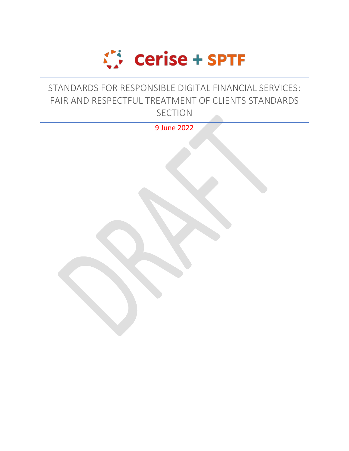

# STANDARDS FOR RESPONSIBLE DIGITAL FINANCIAL SERVICES: FAIR AND RESPECTFUL TREATMENT OF CLIENTS STANDARDS **SECTION**

9 June 2022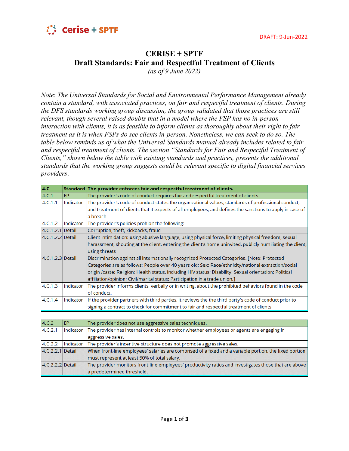

## **CERISE + SPTF Draft Standards: Fair and Respectful Treatment of Clients**

*(as of 9 June 2022)*

*Note*: *The Universal Standards for Social and Environmental Performance Management already contain a standard, with associated practices, on fair and respectful treatment of clients. During the DFS standards working group discussion, the group validated that those practices are still relevant, though several raised doubts that in a model where the FSP has no in-person interaction with clients, it is as feasible to inform clients as thoroughly about their right to fair treatment as it is when FSPs do see clients in-person. Nonetheless, we can seek to do so. The table below reminds us of what the Universal Standards manual already includes related to fair and respectful treatment of clients. The section "Standards for Fair and Respectful Treatment of Clients," shown below the table with existing standards and practices, presents the additional standards that the working group suggests could be relevant specific to digital financial services providers*.

| 4.C.               |           | Standard The provider enforces fair and respectful treatment of clients.                                   |
|--------------------|-----------|------------------------------------------------------------------------------------------------------------|
| 4.C.1              | EP.       | The provider's code of conduct requires fair and respectful treatment of clients.                          |
| 4.C.1.1            | Indicator | The provider's code of conduct states the organizational values, standards of professional conduct,        |
|                    |           | and treatment of clients that it expects of all employees, and defines the sanctions to apply in case of   |
|                    |           | a breach.                                                                                                  |
| 4.C.1.2            | Indicator | The provider's policies prohibit the following:                                                            |
| 4.C.1.2.1 Detail   |           | Corruption, theft, kickbacks, fraud                                                                        |
| $4.C.1.2.2$ Detail |           | Client intimidation: using abusive language, using physical force, limiting physical freedom, sexual       |
|                    |           | harassment, shouting at the client, entering the client's home uninvited, publicly humiliating the client, |
|                    |           | using threats                                                                                              |
| 4.C.1.2.3 Detail   |           | Discrimination against all internationally recognized Protected Categories. [Note: Protected               |
|                    |           | Categories are as follows: People over 40 years old; Sex; Race/ethnicity/national extraction/social        |
|                    |           | origin /caste; Religion; Health status, including HIV status; Disability; Sexual orientation; Political    |
|                    |           | affiliation/opinion; Civil/marital status; Participation in a trade union.]                                |
| 4.C.1.3            | Indicator | The provider informs clients, verbally or in writing, about the prohibited behaviors found in the code     |
|                    |           | of conduct.                                                                                                |
| 4.C.1.4            | Indicator | If the provider partners with third parties, it reviews the the third party's code of conduct prior to     |
|                    |           | signing a contract to check for commitment to fair and respectful treatment of clients.                    |

| 4.C.2            | <b>EP</b> | The provider does not use aggressive sales techniques.                                                 |
|------------------|-----------|--------------------------------------------------------------------------------------------------------|
| 4.C.2.1          | Indicator | The provider has internal controls to monitor whether employees or agents are engaging in              |
|                  |           | aggressive sales.                                                                                      |
| 4.C.2.2          | Indicator | The provider's incentive structure does not promote aggressive sales.                                  |
| 4.C.2.2.1 Detail |           | When front-line employees' salaries are comprised of a fixed and a variable portion, the fixed portion |
|                  |           | must represent at least 50% of total salary.                                                           |
| 4.C.2.2.2 Detail |           | The provider monitors front-line employees' productivity ratios and investigates those that are above  |
|                  |           | a predetermined threshold.                                                                             |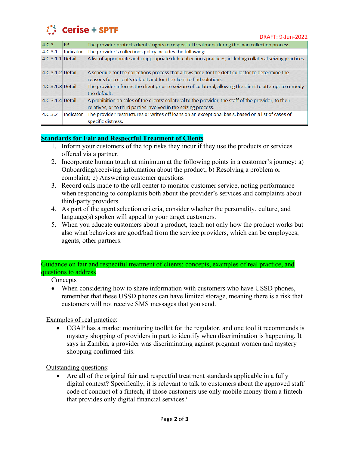

| 4.C.3            | <b>IEP</b> | The provider protects clients' rights to respectful treatment during the loan collection process.           |
|------------------|------------|-------------------------------------------------------------------------------------------------------------|
| 4.C.3.1          | Indicator  | The provider's collections policy includes the following:                                                   |
| 4.C.3.1.1 Detail |            | A list of appropriate and inappropriate debt collections practices, including collateral seizing practices. |
| 4.C.3.1.2 Detail |            | A schedule for the collections process that allows time for the debt collector to determine the             |
|                  |            | reasons for a client's default and for the client to find solutions.                                        |
| 4.C.3.1.3 Detail |            | The provider informs the client prior to seizure of collateral, allowing the client to attempt to remedy    |
|                  |            | the default.                                                                                                |
| 4.C.3.1.4 Detail |            | A prohibition on sales of the clients' collateral to the provider, the staff of the provider, to their      |
|                  |            | relatives, or to third parties involved in the seizing process.                                             |
| 4.C.3.2          | Indicator  | The provider restructures or writes off loans on an exceptional basis, based on a list of cases of          |
|                  |            | specific distress.                                                                                          |

### **Standards for Fair and Respectful Treatment of Clients**

- 1. Inform your customers of the top risks they incur if they use the products or services offered via a partner.
- 2. Incorporate human touch at minimum at the following points in a customer's journey: a) Onboarding/receiving information about the product; b) Resolving a problem or complaint; c) Answering customer questions
- 3. Record calls made to the call center to monitor customer service, noting performance when responding to complaints both about the provider's services and complaints about third-party providers.
- 4. As part of the agent selection criteria, consider whether the personality, culture, and language(s) spoken will appeal to your target customers.
- 5. When you educate customers about a product, teach not only how the product works but also what behaviors are good/bad from the service providers, which can be employees, agents, other partners.

#### Guidance on fair and respectful treatment of clients: concepts, examples of real practice, and questions to address

### **Concepts**

• When considering how to share information with customers who have USSD phones, remember that these USSD phones can have limited storage, meaning there is a risk that customers will not receive SMS messages that you send.

Examples of real practice:

• CGAP has a market monitoring toolkit for the regulator, and one tool it recommends is mystery shopping of providers in part to identify when discrimination is happening. It says in Zambia, a provider was discriminating against pregnant women and mystery shopping confirmed this.

Outstanding questions:

• Are all of the original fair and respectful treatment standards applicable in a fully digital context? Specifically, it is relevant to talk to customers about the approved staff code of conduct of a fintech, if those customers use only mobile money from a fintech that provides only digital financial services?